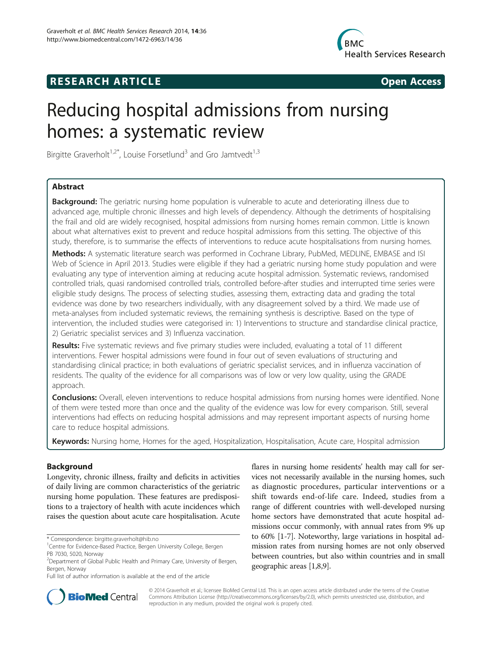# **RESEARCH ARTICLE Example 2014 CONSIDERING CONSIDERING CONSIDERING CONSIDERING CONSIDERING CONSIDERING CONSIDERING CONSIDERING CONSIDERING CONSIDERING CONSIDERING CONSIDERING CONSIDERING CONSIDERING CONSIDERING CONSIDE**



# Reducing hospital admissions from nursing homes: a systematic review

Birgitte Graverholt<sup>1,2\*</sup>, Louise Forsetlund<sup>3</sup> and Gro Jamtvedt<sup>1,3</sup>

# Abstract

**Background:** The geriatric nursing home population is vulnerable to acute and deteriorating illness due to advanced age, multiple chronic illnesses and high levels of dependency. Although the detriments of hospitalising the frail and old are widely recognised, hospital admissions from nursing homes remain common. Little is known about what alternatives exist to prevent and reduce hospital admissions from this setting. The objective of this study, therefore, is to summarise the effects of interventions to reduce acute hospitalisations from nursing homes.

Methods: A systematic literature search was performed in Cochrane Library, PubMed, MEDLINE, EMBASE and ISI Web of Science in April 2013. Studies were eligible if they had a geriatric nursing home study population and were evaluating any type of intervention aiming at reducing acute hospital admission. Systematic reviews, randomised controlled trials, quasi randomised controlled trials, controlled before-after studies and interrupted time series were eligible study designs. The process of selecting studies, assessing them, extracting data and grading the total evidence was done by two researchers individually, with any disagreement solved by a third. We made use of meta-analyses from included systematic reviews, the remaining synthesis is descriptive. Based on the type of intervention, the included studies were categorised in: 1) Interventions to structure and standardise clinical practice, 2) Geriatric specialist services and 3) Influenza vaccination.

Results: Five systematic reviews and five primary studies were included, evaluating a total of 11 different interventions. Fewer hospital admissions were found in four out of seven evaluations of structuring and standardising clinical practice; in both evaluations of geriatric specialist services, and in influenza vaccination of residents. The quality of the evidence for all comparisons was of low or very low quality, using the GRADE approach.

Conclusions: Overall, eleven interventions to reduce hospital admissions from nursing homes were identified. None of them were tested more than once and the quality of the evidence was low for every comparison. Still, several interventions had effects on reducing hospital admissions and may represent important aspects of nursing home care to reduce hospital admissions.

Keywords: Nursing home, Homes for the aged, Hospitalization, Hospitalisation, Acute care, Hospital admission

# Background

Longevity, chronic illness, frailty and deficits in activities of daily living are common characteristics of the geriatric nursing home population. These features are predispositions to a trajectory of health with acute incidences which raises the question about acute care hospitalisation. Acute flares in nursing home residents' health may call for services not necessarily available in the nursing homes, such as diagnostic procedures, particular interventions or a shift towards end-of-life care. Indeed, studies from a range of different countries with well-developed nursing home sectors have demonstrated that acute hospital admissions occur commonly, with annual rates from 9% up to 60% [\[1](#page-6-0)-[7](#page-6-0)]. Noteworthy, large variations in hospital admission rates from nursing homes are not only observed between countries, but also within countries and in small geographic areas [\[1,8,9\]](#page-6-0).



© 2014 Graverholt et al.; licensee BioMed Central Ltd. This is an open access article distributed under the terms of the Creative Commons Attribution License [\(http://creativecommons.org/licenses/by/2.0\)](http://creativecommons.org/licenses/by/2.0), which permits unrestricted use, distribution, and reproduction in any medium, provided the original work is properly cited.

<sup>\*</sup> Correspondence: [birgitte.graverholt@hib.no](mailto:birgitte.graverholt@hib.no) <sup>1</sup>

<sup>&</sup>lt;sup>1</sup> Centre for Evidence-Based Practice, Bergen University College, Bergen PB 7030, 5020, Norway

<sup>&</sup>lt;sup>2</sup>Department of Global Public Health and Primary Care, University of Bergen, Bergen, Norway

Full list of author information is available at the end of the article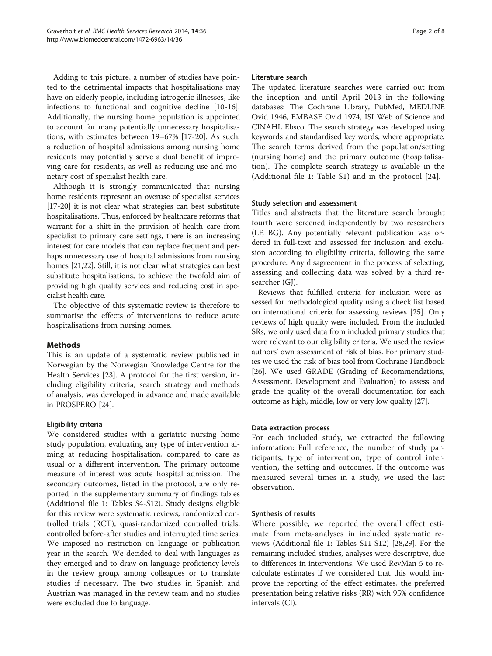Adding to this picture, a number of studies have pointed to the detrimental impacts that hospitalisations may have on elderly people, including iatrogenic illnesses, like infections to functional and cognitive decline [[10-16](#page-7-0)]. Additionally, the nursing home population is appointed to account for many potentially unnecessary hospitalisations, with estimates between 19–67% [[17-20\]](#page-7-0). As such, a reduction of hospital admissions among nursing home residents may potentially serve a dual benefit of improving care for residents, as well as reducing use and monetary cost of specialist health care.

Although it is strongly communicated that nursing home residents represent an overuse of specialist services [[17](#page-7-0)-[20\]](#page-7-0) it is not clear what strategies can best substitute hospitalisations. Thus, enforced by healthcare reforms that warrant for a shift in the provision of health care from specialist to primary care settings, there is an increasing interest for care models that can replace frequent and perhaps unnecessary use of hospital admissions from nursing homes [\[21,22](#page-7-0)]. Still, it is not clear what strategies can best substitute hospitalisations, to achieve the twofold aim of providing high quality services and reducing cost in specialist health care.

The objective of this systematic review is therefore to summarise the effects of interventions to reduce acute hospitalisations from nursing homes.

# Methods

This is an update of a systematic review published in Norwegian by the Norwegian Knowledge Centre for the Health Services [[23\]](#page-7-0). A protocol for the first version, including eligibility criteria, search strategy and methods of analysis, was developed in advance and made available in PROSPERO [[24](#page-7-0)].

#### Eligibility criteria

We considered studies with a geriatric nursing home study population, evaluating any type of intervention aiming at reducing hospitalisation, compared to care as usual or a different intervention. The primary outcome measure of interest was acute hospital admission. The secondary outcomes, listed in the protocol, are only reported in the supplementary summary of findings tables (Additional file [1](#page-6-0): Tables S4-S12). Study designs eligible for this review were systematic reviews, randomized controlled trials (RCT), quasi-randomized controlled trials, controlled before-after studies and interrupted time series. We imposed no restriction on language or publication year in the search. We decided to deal with languages as they emerged and to draw on language proficiency levels in the review group, among colleagues or to translate studies if necessary. The two studies in Spanish and Austrian was managed in the review team and no studies were excluded due to language.

#### Literature search

The updated literature searches were carried out from the inception and until April 2013 in the following databases: The Cochrane Library, PubMed, MEDLINE Ovid 1946, EMBASE Ovid 1974, ISI Web of Science and CINAHL Ebsco. The search strategy was developed using keywords and standardised key words, where appropriate. The search terms derived from the population/setting (nursing home) and the primary outcome (hospitalisation). The complete search strategy is available in the (Additional file [1:](#page-6-0) Table S1) and in the protocol [\[24](#page-7-0)].

#### Study selection and assessment

Titles and abstracts that the literature search brought fourth were screened independently by two researchers (LF, BG). Any potentially relevant publication was ordered in full-text and assessed for inclusion and exclusion according to eligibility criteria, following the same procedure. Any disagreement in the process of selecting, assessing and collecting data was solved by a third researcher (GJ).

Reviews that fulfilled criteria for inclusion were assessed for methodological quality using a check list based on international criteria for assessing reviews [[25](#page-7-0)]. Only reviews of high quality were included. From the included SRs, we only used data from included primary studies that were relevant to our eligibility criteria. We used the review authors' own assessment of risk of bias. For primary studies we used the risk of bias tool from Cochrane Handbook [[26](#page-7-0)]. We used GRADE (Grading of Recommendations, Assessment, Development and Evaluation) to assess and grade the quality of the overall documentation for each outcome as high, middle, low or very low quality [\[27\]](#page-7-0).

#### Data extraction process

For each included study, we extracted the following information: Full reference, the number of study participants, type of intervention, type of control intervention, the setting and outcomes. If the outcome was measured several times in a study, we used the last observation.

# Synthesis of results

Where possible, we reported the overall effect estimate from meta-analyses in included systematic reviews (Additional file [1](#page-6-0): Tables S11-S12) [\[28,29](#page-7-0)]. For the remaining included studies, analyses were descriptive, due to differences in interventions. We used RevMan 5 to recalculate estimates if we considered that this would improve the reporting of the effect estimates, the preferred presentation being relative risks (RR) with 95% confidence intervals (CI).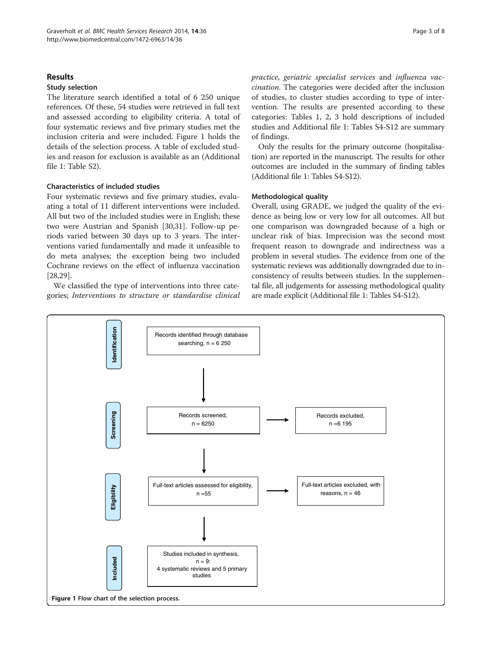### Results

#### Study selection

The literature search identified a total of 6 250 unique references. Of these, 54 studies were retrieved in full text and assessed according to eligibility criteria. A total of four systematic reviews and five primary studies met the inclusion criteria and were included. Figure 1 holds the details of the selection process. A table of excluded studies and reason for exclusion is available as an (Additional file [1:](#page-6-0) Table S2).

#### Characteristics of included studies

Four systematic reviews and five primary studies, evaluating a total of 11 different interventions were included. All but two of the included studies were in English; these two were Austrian and Spanish [[30](#page-7-0),[31](#page-7-0)]. Follow-up periods varied between 30 days up to 3 years. The interventions varied fundamentally and made it unfeasible to do meta analyses; the exception being two included Cochrane reviews on the effect of influenza vaccination [[28,29\]](#page-7-0).

We classified the type of interventions into three categories; Interventions to structure or standardise clinical practice, geriatric specialist services and influenza vaccination. The categories were decided after the inclusion of studies, to cluster studies according to type of intervention. The results are presented according to these categories: Tables [1](#page-3-0), [2,](#page-3-0) [3](#page-4-0) hold descriptions of included studies and Additional file [1](#page-6-0): Tables S4-S12 are summary of findings.

Only the results for the primary outcome (hospitalisation) are reported in the manuscript. The results for other outcomes are included in the summary of finding tables (Additional file [1](#page-6-0): Tables S4-S12).

#### Methodological quality

Overall, using GRADE, we judged the quality of the evidence as being low or very low for all outcomes. All but one comparison was downgraded because of a high or unclear risk of bias. Imprecision was the second most frequent reason to downgrade and indirectness was a problem in several studies. The evidence from one of the systematic reviews was additionally downgraded due to inconsistency of results between studies. In the supplemental file, all judgements for assessing methodological quality are made explicit (Additional file [1](#page-6-0): Tables S4-S12).

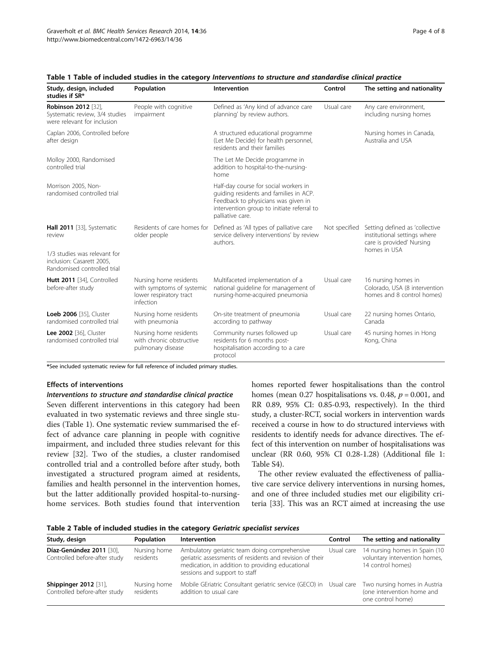| Study, design, included<br>studies if SR*                                                | Population                                                                                  | Intervention                                                                                                                                                                             | Control       | The setting and nationality                                                                 |
|------------------------------------------------------------------------------------------|---------------------------------------------------------------------------------------------|------------------------------------------------------------------------------------------------------------------------------------------------------------------------------------------|---------------|---------------------------------------------------------------------------------------------|
| Robinson 2012 [32],<br>Systematic review, 3/4 studies<br>were relevant for inclusion     | People with cognitive<br>impairment                                                         | Defined as 'Any kind of advance care<br>planning' by review authors.                                                                                                                     | Usual care    | Any care environment,<br>including nursing homes                                            |
| Caplan 2006, Controlled before<br>after design                                           |                                                                                             | A structured educational programme<br>(Let Me Decide) for health personnel,<br>residents and their families                                                                              |               | Nursing homes in Canada,<br>Australia and USA                                               |
| Molloy 2000, Randomised<br>controlled trial                                              |                                                                                             | The Let Me Decide programme in<br>addition to hospital-to-the-nursing-<br>home                                                                                                           |               |                                                                                             |
| Morrison 2005, Non-<br>randomised controlled trial                                       |                                                                                             | Half-day course for social workers in<br>quiding residents and families in ACP.<br>Feedback to physicians was given in<br>intervention group to initiate referral to<br>palliative care. |               |                                                                                             |
| Hall 2011 [33], Systematic<br>review                                                     | Residents of care homes for<br>older people                                                 | Defined as 'All types of palliative care<br>service delivery interventions' by review<br>authors.                                                                                        | Not specified | Setting defined as 'collective<br>institutional settings where<br>care is provided' Nursing |
| 1/3 studies was relevant for<br>inclusion: Casarett 2005,<br>Randomised controlled trial |                                                                                             |                                                                                                                                                                                          |               | homes in USA                                                                                |
| Hutt 2011 [34], Controlled<br>before-after study                                         | Nursing home residents<br>with symptoms of systemic<br>lower respiratory tract<br>infection | Multifaceted implementation of a<br>national quideline for management of<br>nursing-home-acquired pneumonia                                                                              | Usual care    | 16 nursing homes in<br>Colorado, USA (8 intervention<br>homes and 8 control homes)          |
| <b>Loeb 2006</b> [35], Cluster<br>randomised controlled trial                            | Nursing home residents<br>with pneumonia                                                    | On-site treatment of pneumonia<br>according to pathway                                                                                                                                   | Usual care    | 22 nursing homes Ontario,<br>Canada                                                         |
| Lee 2002 [36], Cluster<br>randomised controlled trial                                    | Nursing home residents<br>with chronic obstructive<br>pulmonary disease                     | Community nurses followed up<br>residents for 6 months post-<br>hospitalisation according to a care<br>protocol                                                                          | Usual care    | 45 nursing homes in Hong<br>Kong, China                                                     |

<span id="page-3-0"></span>

| Table 1 Table of included studies in the category Interventions to structure and standardise clinical practice |  |
|----------------------------------------------------------------------------------------------------------------|--|
|----------------------------------------------------------------------------------------------------------------|--|

\*See included systematic review for full reference of included primary studies.

#### Effects of interventions

Interventions to structure and standardise clinical practice Seven different interventions in this category had been evaluated in two systematic reviews and three single studies (Table 1). One systematic review summarised the effect of advance care planning in people with cognitive impairment, and included three studies relevant for this review [\[32](#page-7-0)]. Two of the studies, a cluster randomised controlled trial and a controlled before after study, both investigated a structured program aimed at residents, families and health personnel in the intervention homes, but the latter additionally provided hospital-to-nursinghome services. Both studies found that intervention homes reported fewer hospitalisations than the control homes (mean 0.27 hospitalisations vs. 0.48,  $p = 0.001$ , and RR 0.89, 95% CI: 0.85-0.93, respectively). In the third study, a cluster-RCT, social workers in intervention wards received a course in how to do structured interviews with residents to identify needs for advance directives. The effect of this intervention on number of hospitalisations was unclear (RR 0.60, 95% CI 0.28-1.28) (Additional file [1](#page-6-0): Table S4).

The other review evaluated the effectiveness of palliative care service delivery interventions in nursing homes, and one of three included studies met our eligibility criteria [[33](#page-7-0)]. This was an RCT aimed at increasing the use

| Study, design                                                 | Population                | Intervention                                                                                                                                                                                   | Control    | The setting and nationality                                                         |
|---------------------------------------------------------------|---------------------------|------------------------------------------------------------------------------------------------------------------------------------------------------------------------------------------------|------------|-------------------------------------------------------------------------------------|
| Díaz-Genúndez 2011 [30].<br>Controlled before-after study     | Nursing home<br>residents | Ambulatory geriatric team doing comprehensive<br>geriatric assessments of residents and revision of their<br>medication, in addition to providing educational<br>sessions and support to staff | Usual care | 14 nursing homes in Spain (10<br>voluntary intervention homes,<br>14 control homes) |
| <b>Shippinger 2012</b> [31],<br>Controlled before-after study | Nursing home<br>residents | Mobile GEriatric Consultant geriatric service (GECO) in Usual care<br>addition to usual care                                                                                                   |            | Two nursing homes in Austria<br>(one intervention home and<br>one control home)     |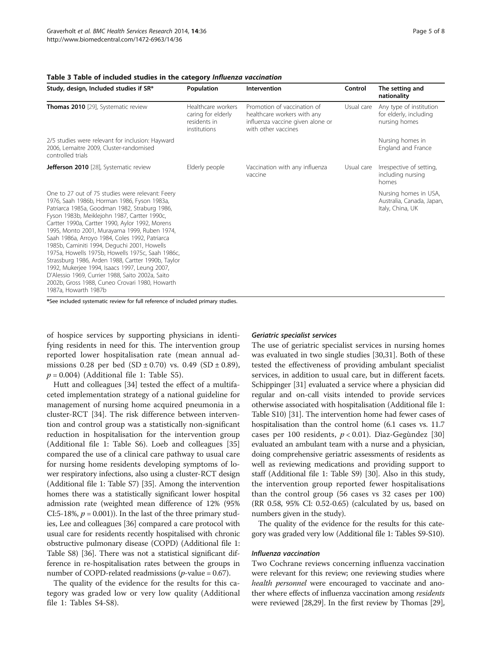| Study, design, Included studies if SR*                                                                                                                                                                                                                                                                                                                                                                                                                                                                                                                                                                                                                                                        | Population                                                               | Intervention                                                                                                          | Control    | The setting and<br>nationality                                         |
|-----------------------------------------------------------------------------------------------------------------------------------------------------------------------------------------------------------------------------------------------------------------------------------------------------------------------------------------------------------------------------------------------------------------------------------------------------------------------------------------------------------------------------------------------------------------------------------------------------------------------------------------------------------------------------------------------|--------------------------------------------------------------------------|-----------------------------------------------------------------------------------------------------------------------|------------|------------------------------------------------------------------------|
| Thomas 2010 [29], Systematic review                                                                                                                                                                                                                                                                                                                                                                                                                                                                                                                                                                                                                                                           | Healthcare workers<br>caring for elderly<br>residents in<br>institutions | Promotion of vaccination of<br>healthcare workers with any<br>influenza vaccine given alone or<br>with other vaccines | Usual care | Any type of institution<br>for elderly, including<br>nursing homes     |
| 2/5 studies were relevant for inclusion: Hayward<br>2006, Lemaitre 2009, Cluster-randomised<br>controlled trials                                                                                                                                                                                                                                                                                                                                                                                                                                                                                                                                                                              |                                                                          |                                                                                                                       |            | Nursing homes in<br>England and France                                 |
| Jefferson 2010 [28], Systematic review                                                                                                                                                                                                                                                                                                                                                                                                                                                                                                                                                                                                                                                        | Elderly people                                                           | Vaccination with any influenza<br>vaccine                                                                             | Usual care | Irrespective of setting,<br>including nursing<br>homes                 |
| One to 27 out of 75 studies were relevant: Feery<br>1976, Saah 1986b, Horman 1986, Fyson 1983a,<br>Patriarca 1985a, Goodman 1982, Straburg 1986,<br>Fyson 1983b, Meiklejohn 1987, Cartter 1990c,<br>Cartter 1990a, Cartter 1990, Aylor 1992, Morens<br>1995, Monto 2001, Murayama 1999, Ruben 1974,<br>Saah 1986a, Arroyo 1984, Coles 1992, Patriarca<br>1985b, Caminiti 1994, Deguchi 2001, Howells<br>1975a, Howells 1975b, Howells 1975c, Saah 1986c,<br>Strassburg 1986, Arden 1988, Cartter 1990b, Taylor<br>1992, Mukerjee 1994, Isaacs 1997, Leung 2007,<br>D'Alessio 1969, Currier 1988, Saito 2002a, Saito<br>2002b, Gross 1988, Cuneo Crovari 1980, Howarth<br>1987a, Howarth 1987b |                                                                          |                                                                                                                       |            | Nursing homes in USA,<br>Australia, Canada, Japan,<br>Italy, China, UK |

<span id="page-4-0"></span>Table 3 Table of included studies in the category Influenza vaccination

\*See included systematic review for full reference of included primary studies.

of hospice services by supporting physicians in identifying residents in need for this. The intervention group reported lower hospitalisation rate (mean annual admissions 0.28 per bed  $(SD \pm 0.70)$  vs. 0.49  $(SD \pm 0.89)$ ,  $p = 0.004$ ) (Additional file [1:](#page-6-0) Table S5).

Hutt and colleagues [[34](#page-7-0)] tested the effect of a multifaceted implementation strategy of a national guideline for management of nursing home acquired pneumonia in a cluster-RCT [[34\]](#page-7-0). The risk difference between intervention and control group was a statistically non-significant reduction in hospitalisation for the intervention group (Additional file [1:](#page-6-0) Table S6). Loeb and colleagues [[35](#page-7-0)] compared the use of a clinical care pathway to usual care for nursing home residents developing symptoms of lower respiratory infections, also using a cluster-RCT design (Additional file [1](#page-6-0): Table S7) [[35](#page-7-0)]. Among the intervention homes there was a statistically significant lower hospital admission rate (weighted mean difference of 12% (95% CI:5-18%,  $p = 0.001$ )). In the last of the three primary studies, Lee and colleagues [[36](#page-7-0)] compared a care protocol with usual care for residents recently hospitalised with chronic obstructive pulmonary disease (COPD) (Additional file [1](#page-6-0): Table S8) [[36](#page-7-0)]. There was not a statistical significant difference in re-hospitalisation rates between the groups in number of COPD-related readmissions ( $p$ -value = 0.67).

The quality of the evidence for the results for this category was graded low or very low quality (Additional file [1](#page-6-0): Tables S4-S8).

#### Geriatric specialist services

The use of geriatric specialist services in nursing homes was evaluated in two single studies [\[30,31\]](#page-7-0). Both of these tested the effectiveness of providing ambulant specialist services, in addition to usual care, but in different facets. Schippinger [\[31\]](#page-7-0) evaluated a service where a physician did regular and on-call visits intended to provide services otherwise associated with hospitalisation (Additional file [1](#page-6-0): Table S10) [[31](#page-7-0)]. The intervention home had fewer cases of hospitalisation than the control home (6.1 cases vs. 11.7 cases per 100 residents,  $p < 0.01$ ). Dìaz-Gegùndez [\[30](#page-7-0)] evaluated an ambulant team with a nurse and a physician, doing comprehensive geriatric assessments of residents as well as reviewing medications and providing support to staff (Additional file [1:](#page-6-0) Table S9) [\[30\]](#page-7-0). Also in this study, the intervention group reported fewer hospitalisations than the control group (56 cases vs 32 cases per 100) (RR 0.58, 95% CI: 0.52-0.65) (calculated by us, based on numbers given in the study).

The quality of the evidence for the results for this category was graded very low (Additional file [1:](#page-6-0) Tables S9-S10).

#### Influenza vaccination

Two Cochrane reviews concerning influenza vaccination were relevant for this review; one reviewing studies where health personnel were encouraged to vaccinate and another where effects of influenza vaccination among residents were reviewed [\[28,29](#page-7-0)]. In the first review by Thomas [[29](#page-7-0)],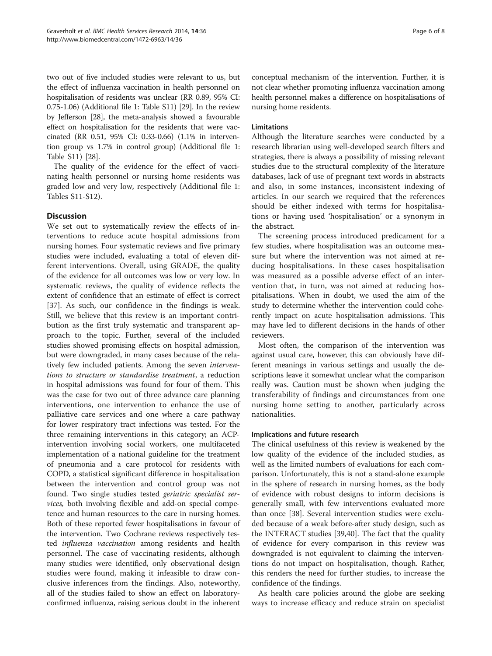two out of five included studies were relevant to us, but the effect of influenza vaccination in health personnel on hospitalisation of residents was unclear (RR 0.89, 95% CI: 0.75-1.06) (Additional file [1:](#page-6-0) Table S11) [[29](#page-7-0)]. In the review by Jefferson [\[28\]](#page-7-0), the meta-analysis showed a favourable effect on hospitalisation for the residents that were vaccinated (RR 0.51, 95% CI: 0.33-0.66) (1.1% in intervention group vs 1.7% in control group) (Additional file [1](#page-6-0): Table S11) [\[28\]](#page-7-0).

The quality of the evidence for the effect of vaccinating health personnel or nursing home residents was graded low and very low, respectively (Additional file [1](#page-6-0): Tables S11-S12).

### **Discussion**

We set out to systematically review the effects of interventions to reduce acute hospital admissions from nursing homes. Four systematic reviews and five primary studies were included, evaluating a total of eleven different interventions. Overall, using GRADE, the quality of the evidence for all outcomes was low or very low. In systematic reviews, the quality of evidence reflects the extent of confidence that an estimate of effect is correct [[37\]](#page-7-0). As such, our confidence in the findings is weak. Still, we believe that this review is an important contribution as the first truly systematic and transparent approach to the topic. Further, several of the included studies showed promising effects on hospital admission, but were downgraded, in many cases because of the relatively few included patients. Among the seven interventions to structure or standardise treatment, a reduction in hospital admissions was found for four of them. This was the case for two out of three advance care planning interventions, one intervention to enhance the use of palliative care services and one where a care pathway for lower respiratory tract infections was tested. For the three remaining interventions in this category; an ACPintervention involving social workers, one multifaceted implementation of a national guideline for the treatment of pneumonia and a care protocol for residents with COPD, a statistical significant difference in hospitalisation between the intervention and control group was not found. Two single studies tested geriatric specialist services, both involving flexible and add-on special competence and human resources to the care in nursing homes. Both of these reported fewer hospitalisations in favour of the intervention. Two Cochrane reviews respectively tested influenza vaccination among residents and health personnel. The case of vaccinating residents, although many studies were identified, only observational design studies were found, making it infeasible to draw conclusive inferences from the findings. Also, noteworthy, all of the studies failed to show an effect on laboratoryconfirmed influenza, raising serious doubt in the inherent conceptual mechanism of the intervention. Further, it is not clear whether promoting influenza vaccination among health personnel makes a difference on hospitalisations of nursing home residents.

#### Limitations

Although the literature searches were conducted by a research librarian using well-developed search filters and strategies, there is always a possibility of missing relevant studies due to the structural complexity of the literature databases, lack of use of pregnant text words in abstracts and also, in some instances, inconsistent indexing of articles. In our search we required that the references should be either indexed with terms for hospitalisations or having used 'hospitalisation' or a synonym in the abstract.

The screening process introduced predicament for a few studies, where hospitalisation was an outcome measure but where the intervention was not aimed at reducing hospitalisations. In these cases hospitalisation was measured as a possible adverse effect of an intervention that, in turn, was not aimed at reducing hospitalisations. When in doubt, we used the aim of the study to determine whether the intervention could coherently impact on acute hospitalisation admissions. This may have led to different decisions in the hands of other reviewers.

Most often, the comparison of the intervention was against usual care, however, this can obviously have different meanings in various settings and usually the descriptions leave it somewhat unclear what the comparison really was. Caution must be shown when judging the transferability of findings and circumstances from one nursing home setting to another, particularly across nationalities.

#### Implications and future research

The clinical usefulness of this review is weakened by the low quality of the evidence of the included studies, as well as the limited numbers of evaluations for each comparison. Unfortunately, this is not a stand-alone example in the sphere of research in nursing homes, as the body of evidence with robust designs to inform decisions is generally small, with few interventions evaluated more than once [\[38\]](#page-7-0). Several intervention studies were excluded because of a weak before-after study design, such as the INTERACT studies [[39](#page-7-0),[40](#page-7-0)]. The fact that the quality of evidence for every comparison in this review was downgraded is not equivalent to claiming the interventions do not impact on hospitalisation, though. Rather, this renders the need for further studies, to increase the confidence of the findings.

As health care policies around the globe are seeking ways to increase efficacy and reduce strain on specialist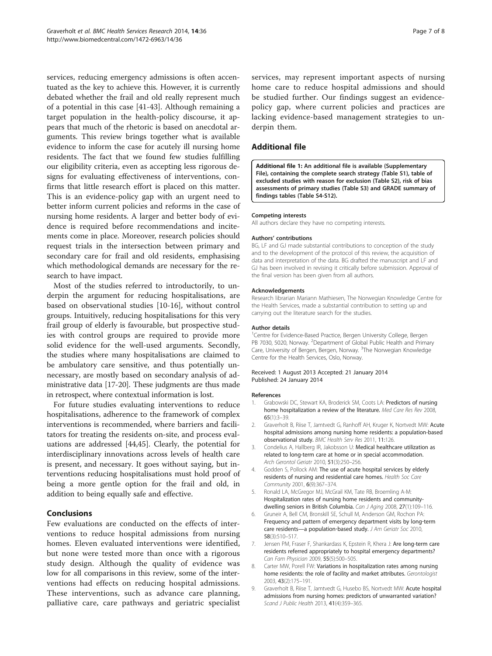<span id="page-6-0"></span>services, reducing emergency admissions is often accentuated as the key to achieve this. However, it is currently debated whether the frail and old really represent much of a potential in this case [[41-43](#page-7-0)]. Although remaining a target population in the health-policy discourse, it appears that much of the rhetoric is based on anecdotal arguments. This review brings together what is available evidence to inform the case for acutely ill nursing home residents. The fact that we found few studies fulfilling our eligibility criteria, even as accepting less rigorous designs for evaluating effectiveness of interventions, confirms that little research effort is placed on this matter. This is an evidence-policy gap with an urgent need to better inform current policies and reforms in the case of nursing home residents. A larger and better body of evidence is required before recommendations and incitements come in place. Moreover, research policies should request trials in the intersection between primary and secondary care for frail and old residents, emphasising which methodological demands are necessary for the research to have impact.

Most of the studies referred to introductorily, to underpin the argument for reducing hospitalisations, are based on observational studies [[10-16\]](#page-7-0), without control groups. Intuitively, reducing hospitalisations for this very frail group of elderly is favourable, but prospective studies with control groups are required to provide more solid evidence for the well-used arguments. Secondly, the studies where many hospitalisations are claimed to be ambulatory care sensitive, and thus potentially unnecessary, are mostly based on secondary analysis of administrative data [\[17-20\]](#page-7-0). These judgments are thus made in retrospect, where contextual information is lost.

For future studies evaluating interventions to reduce hospitalisations, adherence to the framework of complex interventions is recommended, where barriers and facilitators for treating the residents on-site, and process evaluations are addressed [[44,45\]](#page-7-0). Clearly, the potential for interdisciplinary innovations across levels of health care is present, and necessary. It goes without saying, but interventions reducing hospitalisations must hold proof of being a more gentle option for the frail and old, in addition to being equally safe and effective.

# **Conclusions**

Few evaluations are conducted on the effects of interventions to reduce hospital admissions from nursing homes. Eleven evaluated interventions were identified, but none were tested more than once with a rigorous study design. Although the quality of evidence was low for all comparisons in this review, some of the interventions had effects on reducing hospital admissions. These interventions, such as advance care planning, palliative care, care pathways and geriatric specialist services, may represent important aspects of nursing home care to reduce hospital admissions and should be studied further. Our findings suggest an evidencepolicy gap, where current policies and practices are lacking evidence-based management strategies to underpin them.

# Additional file

[Additional file 1:](http://www.biomedcentral.com/content/supplementary/1472-6963-14-36-S1.pdf) An additional file is available (Supplementary File), containing the complete search strategy (Table S1), table of excluded studies with reason for exclusion (Table S2), risk of bias assessments of primary studies (Table S3) and GRADE summary of findings tables (Table S4-S12).

#### Competing interests

All authors declare they have no competing interests.

#### Authors' contributions

BG, LF and GJ made substantial contributions to conception of the study and to the development of the protocol of this review, the acquisition of data and interpretation of the data. BG drafted the manuscript and LF and GJ has been involved in revising it critically before submission. Approval of the final version has been given from all authors.

#### Acknowledgements

Research librarian Mariann Mathiesen, The Norwegian Knowledge Centre for the Health Services, made a substantial contribution to setting up and carrying out the literature search for the studies.

#### Author details

<sup>1</sup> Centre for Evidence-Based Practice, Bergen University College, Bergen PB 7030, 5020, Norway. <sup>2</sup>Department of Global Public Health and Primary Care, University of Bergen, Bergen, Norway. <sup>3</sup>The Norwegian Knowledge Centre for the Health Services, Oslo, Norway.

#### Received: 1 August 2013 Accepted: 21 January 2014 Published: 24 January 2014

#### References

- 1. Grabowski DC, Stewart KA, Broderick SM, Coots LA: Predictors of nursing home hospitalization a review of the literature. Med Care Res Rev 2008, 65(1):3–39.
- 2. Graverholt B, Riise T, Jamtvedt G, Ranhoff AH, Kruger K, Nortvedt MW: Acute hospital admissions among nursing home residents: a population-based observational study. BMC Health Serv Res 2011, 11:126.
- 3. Condelius A, Hallberg IR, Jakobsson U: Medical healthcare utilization as related to long-term care at home or in special accommodation. Arch Gerontol Geriatr 2010, 51(3):250–256.
- 4. Godden S, Pollock AM: The use of acute hospital services by elderly residents of nursing and residential care homes. Health Soc Care Community 2001, 6(9):367–374.
- 5. Ronald LA, McGregor MJ, McGrail KM, Tate RB, Broemling A-M: Hospitalization rates of nursing home residents and communitydwelling seniors in British Columbia. Can J Aging 2008, 27(1):109-116.
- 6. Gruneir A, Bell CM, Bronskill SE, Schull M, Anderson GM, Rochon PA: Frequency and pattern of emergency department visits by long‐term care residents—a population-based study. J Am Geriatr Soc 2010, 58(3):510–517.
- 7. Jensen PM, Fraser F, Shankardass K, Epstein R, Khera J: Are long-term care residents referred appropriately to hospital emergency departments? Can Fam Physician 2009, 55(5):500–505.
- 8. Carter MW, Porell FW: Variations in hospitalization rates among nursing home residents: the role of facility and market attributes. Gerontologist 2003, 43(2):175–191.
- 9. Graverholt B, Riise T, Jamtvedt G, Husebo BS, Nortvedt MW: Acute hospital admissions from nursing homes: predictors of unwarranted variation? Scand J Public Health 2013, 41(4):359–365.